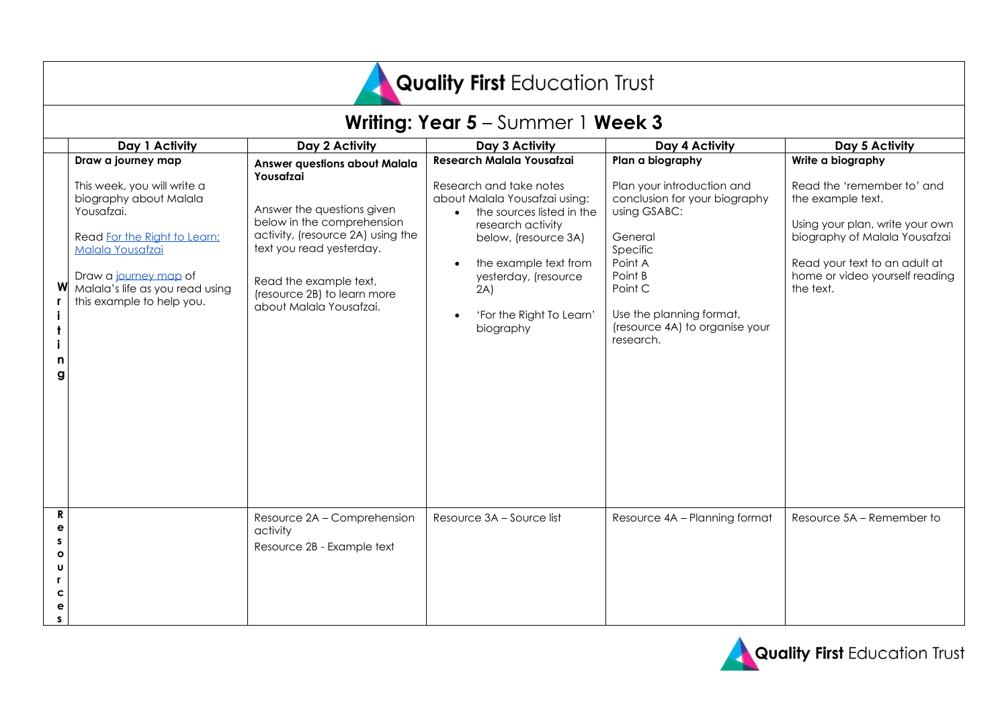# Quality First Education Trust

|                                            | Writing: Year 5 - Summer 1 Week 3                                                                                                                                                                                                      |                                                                                                                                                                                                                                                                    |                                                                                                                                                                                                                                                                  |                                                                                                                                                                                                                                    |                                                                                                                                                                                                                          |  |
|--------------------------------------------|----------------------------------------------------------------------------------------------------------------------------------------------------------------------------------------------------------------------------------------|--------------------------------------------------------------------------------------------------------------------------------------------------------------------------------------------------------------------------------------------------------------------|------------------------------------------------------------------------------------------------------------------------------------------------------------------------------------------------------------------------------------------------------------------|------------------------------------------------------------------------------------------------------------------------------------------------------------------------------------------------------------------------------------|--------------------------------------------------------------------------------------------------------------------------------------------------------------------------------------------------------------------------|--|
|                                            | Day 1 Activity                                                                                                                                                                                                                         | Day 2 Activity                                                                                                                                                                                                                                                     | Day 3 Activity                                                                                                                                                                                                                                                   | Day 4 Activity                                                                                                                                                                                                                     | Day 5 Activity                                                                                                                                                                                                           |  |
| n<br>g                                     | Draw a journey map<br>This week, you will write a<br>biography about Malala<br>Yousafzai.<br>Read For the Right to Learn:<br>Malala Yousafzai<br>Draw a journey map of<br>Malala's life as you read using<br>this example to help you. | <b>Answer questions about Malala</b><br>Yousafzai<br>Answer the questions given<br>below in the comprehension<br>activity, (resource 2A) using the<br>text you read yesterday.<br>Read the example text,<br>(resource 2B) to learn more<br>about Malala Yousafzai. | Research Malala Yousafzai<br>Research and take notes<br>about Malala Yousafzai using:<br>the sources listed in the<br>research activity<br>below, (resource 3A)<br>the example text from<br>yesterday, (resource<br>2A)<br>'For the Right To Learn'<br>biography | Plan a biography<br>Plan your introduction and<br>conclusion for your biography<br>using GSABC:<br>General<br>Specific<br>Point A<br>Point B<br>Point C<br>Use the planning format,<br>(resource 4A) to organise your<br>research. | Write a biography<br>Read the 'remember to' and<br>the example text.<br>Using your plan, write your own<br>biography of Malala Yousafzai<br>Read your text to an adult at<br>home or video yourself reading<br>the text. |  |
| R<br>е<br>s<br>O<br>U<br>r.<br>C<br>е<br>S |                                                                                                                                                                                                                                        | Resource 2A - Comprehension<br>activity<br>Resource 2B - Example text                                                                                                                                                                                              | Resource 3A - Source list                                                                                                                                                                                                                                        | Resource 4A - Planning format                                                                                                                                                                                                      | Resource 5A - Remember to                                                                                                                                                                                                |  |

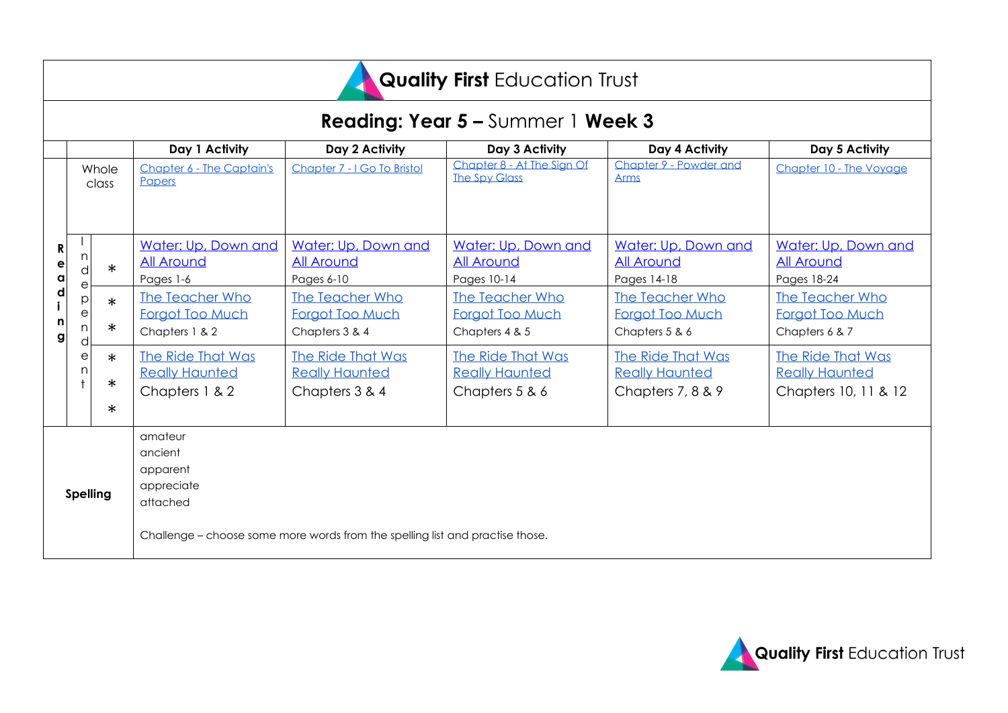

### **Reading: Year 5 –** Summer 1 **Week 3**

|                                   |             |                            | Day 1 Activity                                               | Day 2 Activity                                                                | Day 3 Activity                                               | Day 4 Activity                                                  | Day 5 Activity                                                     |
|-----------------------------------|-------------|----------------------------|--------------------------------------------------------------|-------------------------------------------------------------------------------|--------------------------------------------------------------|-----------------------------------------------------------------|--------------------------------------------------------------------|
|                                   |             | Whole<br>class             | Chapter 6 - The Captain's<br>Papers                          | Chapter 7 - I Go To Bristol                                                   | Chapter 8 - At The Sign Of<br><b>The Spy Glass</b>           | Chapter 9 - Powder and<br><b>Arms</b>                           | Chapter 10 - The Voyage                                            |
| R<br>е<br>$\alpha$<br>d<br>n<br>g |             | $\ast$                     | Water: Up, Down and<br><b>All Around</b><br>Pages 1-6        | Water: Up, Down and<br><b>All Around</b><br>Pages 6-10                        | Water: Up, Down and<br><b>All Around</b><br>Pages 10-14      | Water: Up, Down and<br><b>All Around</b><br>Pages 14-18         | Water: Up, Down and<br><b>All Around</b><br>Pages 18-24            |
|                                   | е<br>D<br>е | $\ast$<br>$\ast$           | The Teacher Who<br>Forgot Too Much<br>Chapters 1 & 2         | The Teacher Who<br>Forgot Too Much<br>Chapters 3 & 4                          | The Teacher Who<br>Forgot Too Much<br>Chapters 4 & 5         | The Teacher Who<br>Forgot Too Much<br>Chapters 5 & 6            | The Teacher Who<br>Forgot Too Much<br>Chapters 6 & 7               |
|                                   | е           | $\ast$<br>$\ast$<br>$\ast$ | The Ride That Was<br><b>Really Haunted</b><br>Chapters 1 & 2 | <b>The Ride That Was</b><br><b>Really Haunted</b><br>Chapters 3 & 4           | The Ride That Was<br><b>Really Haunted</b><br>Chapters 5 & 6 | The Ride That Was<br><b>Really Haunted</b><br>Chapters 7, 8 & 9 | The Ride That Was<br><b>Really Haunted</b><br>Chapters 10, 11 & 12 |
| <b>Spelling</b>                   |             |                            | amateur<br>ancient<br>apparent<br>appreciate<br>attached     |                                                                               |                                                              |                                                                 |                                                                    |
|                                   |             |                            |                                                              | Challenge - choose some more words from the spelling list and practise those. |                                                              |                                                                 |                                                                    |

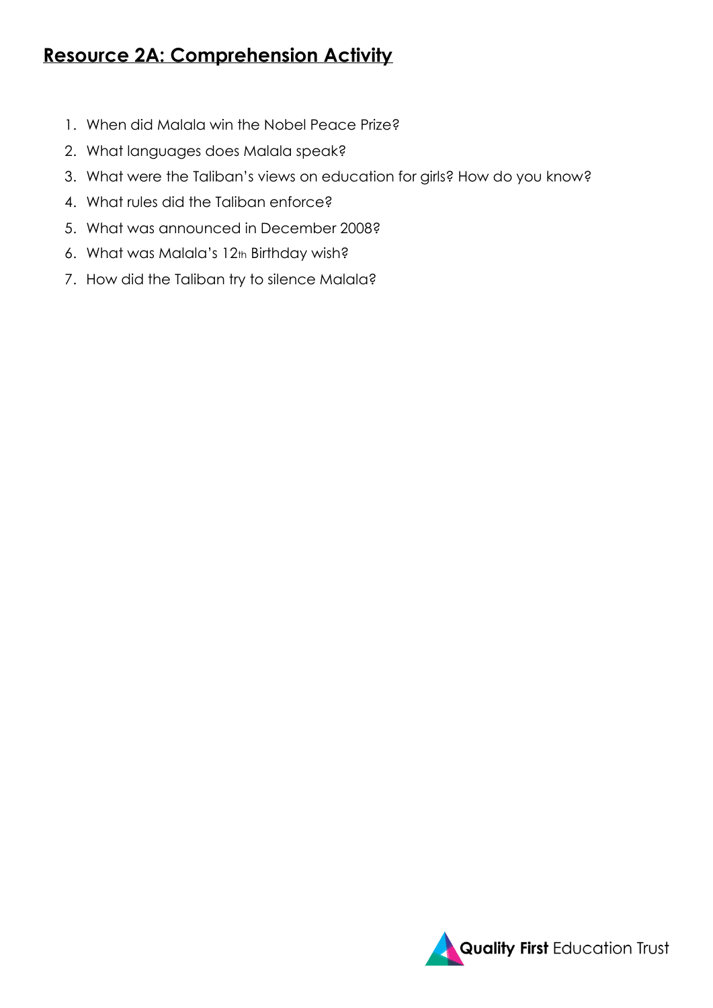### **Resource 2A: Comprehension Activity**

- 1. When did Malala win the Nobel Peace Prize?
- 2. What languages does Malala speak?
- 3. What were the Taliban's views on education for girls? How do you know?
- 4. What rules did the Taliban enforce?
- 5. What was announced in December 2008?
- 6. What was Malala's 12th Birthday wish?
- 7. How did the Taliban try to silence Malala?

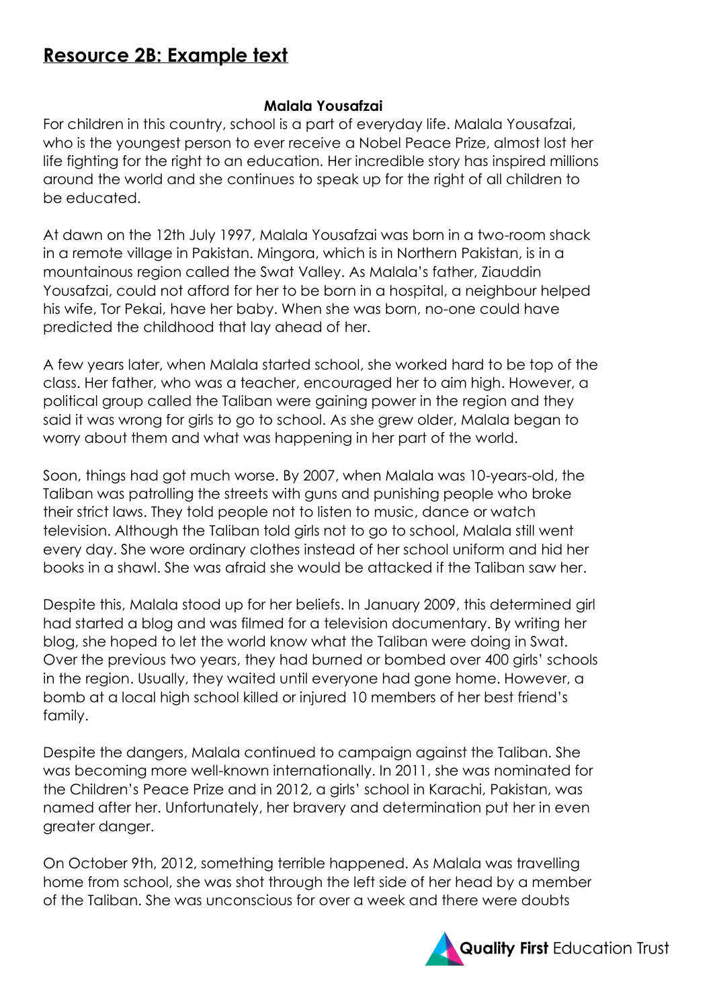### **Resource 2B: Example text**

#### **Malala Yousafzai**

For children in this country, school is a part of everyday life. Malala Yousafzai, who is the youngest person to ever receive a Nobel Peace Prize, almost lost her life fighting for the right to an education. Her incredible story has inspired millions around the world and she continues to speak up for the right of all children to be educated.

At dawn on the 12th July 1997, Malala Yousafzai was born in a two-room shack in a remote village in Pakistan. Mingora, which is in Northern Pakistan, is in a mountainous region called the Swat Valley. As Malala's father, Ziauddin Yousafzai, could not afford for her to be born in a hospital, a neighbour helped his wife, Tor Pekai, have her baby. When she was born, no-one could have predicted the childhood that lay ahead of her.

A few years later, when Malala started school, she worked hard to be top of the class. Her father, who was a teacher, encouraged her to aim high. However, a political group called the Taliban were gaining power in the region and they said it was wrong for girls to go to school. As she grew older, Malala began to worry about them and what was happening in her part of the world.

Soon, things had got much worse. By 2007, when Malala was 10-years-old, the Taliban was patrolling the streets with guns and punishing people who broke their strict laws. They told people not to listen to music, dance or watch television. Although the Taliban told girls not to go to school, Malala still went every day. She wore ordinary clothes instead of her school uniform and hid her books in a shawl. She was afraid she would be attacked if the Taliban saw her.

Despite this, Malala stood up for her beliefs. In January 2009, this determined girl had started a blog and was filmed for a television documentary. By writing her blog, she hoped to let the world know what the Taliban were doing in Swat. Over the previous two years, they had burned or bombed over 400 girls' schools in the region. Usually, they waited until everyone had gone home. However, a bomb at a local high school killed or injured 10 members of her best friend's family.

Despite the dangers, Malala continued to campaign against the Taliban. She was becoming more well-known internationally. In 2011, she was nominated for the Children's Peace Prize and in 2012, a girls' school in Karachi, Pakistan, was named after her. Unfortunately, her bravery and determination put her in even greater danger.

On October 9th, 2012, something terrible happened. As Malala was travelling home from school, she was shot through the left side of her head by a member of the Taliban. She was unconscious for over a week and there were doubts

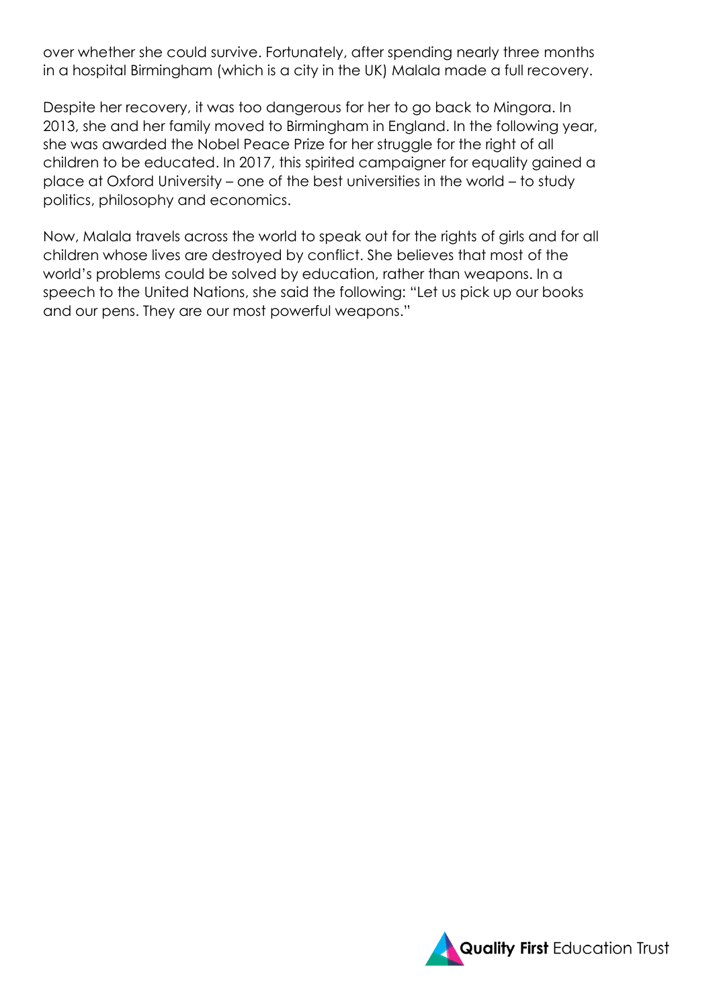over whether she could survive. Fortunately, after spending nearly three months in a hospital Birmingham (which is a city in the UK) Malala made a full recovery.

Despite her recovery, it was too dangerous for her to go back to Mingora. In 2013, she and her family moved to Birmingham in England. In the following year, she was awarded the Nobel Peace Prize for her struggle for the right of all children to be educated. In 2017, this spirited campaigner for equality gained a place at Oxford University – one of the best universities in the world – to study politics, philosophy and economics.

Now, Malala travels across the world to speak out for the rights of girls and for all children whose lives are destroyed by conflict. She believes that most of the world's problems could be solved by education, rather than weapons. In a speech to the United Nations, she said the following: "Let us pick up our books and our pens. They are our most powerful weapons."

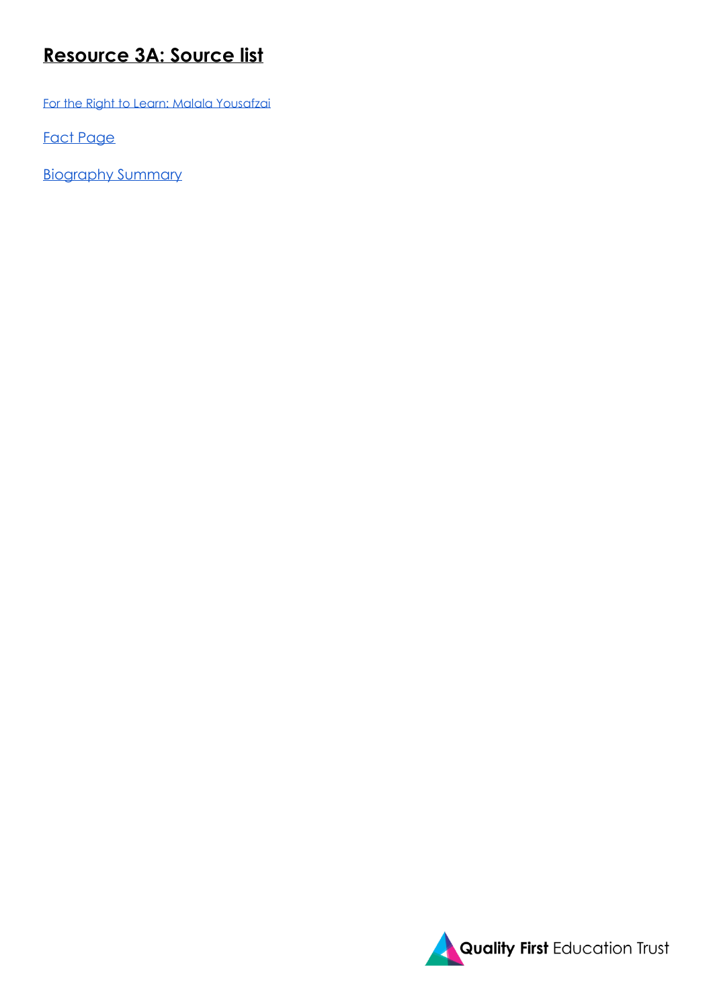### **Resource 3A: Source list**

[For the Right to Learn: Malala Yousafzai](https://drive.google.com/open?id=190F7MOcHpkHyy4UYtJaUzgdOCO0IoOup)

[Fact Page](https://drive.google.com/file/d/1CQyOy5SCe0Kn0qIt2FOgTo2aDnQOEkVS/view) 

[Biography Summary](https://www.ducksters.com/biography/women_leaders/malalayousafzai.php)

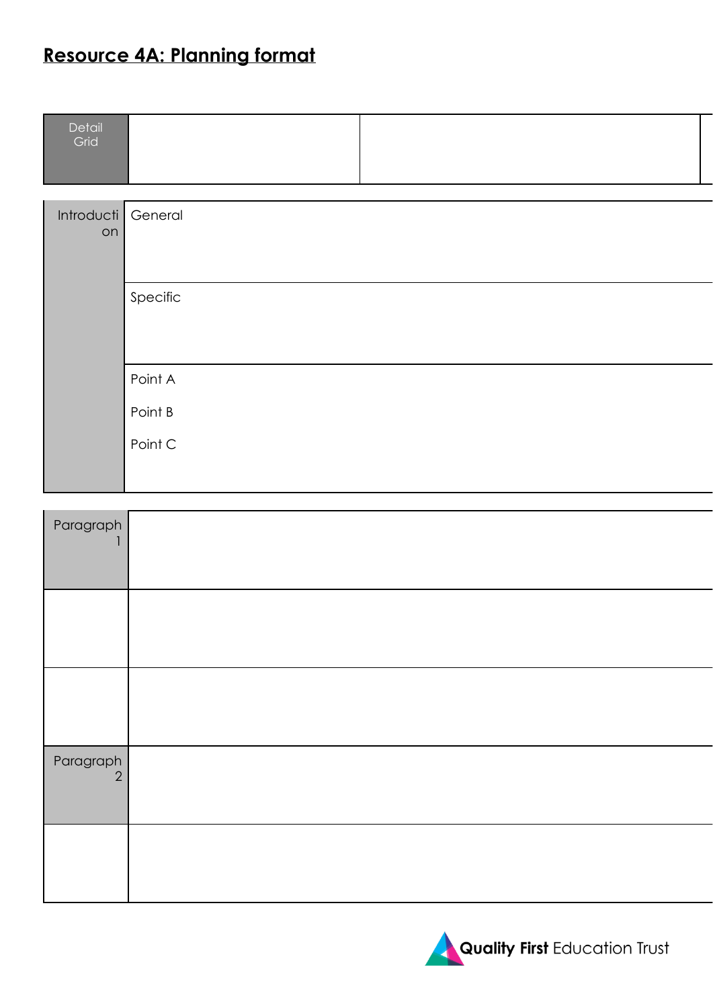## **Resource 4A: Planning format**

| Detail<br>Grid |  |  |
|----------------|--|--|
|                |  |  |
|                |  |  |
|                |  |  |

| Introducti General<br>on |                    |
|--------------------------|--------------------|
|                          | Specific           |
|                          | Point A<br>Point B |
|                          | Point C            |

| Paragraph      |  |
|----------------|--|
|                |  |
|                |  |
| Paragraph<br>2 |  |
|                |  |

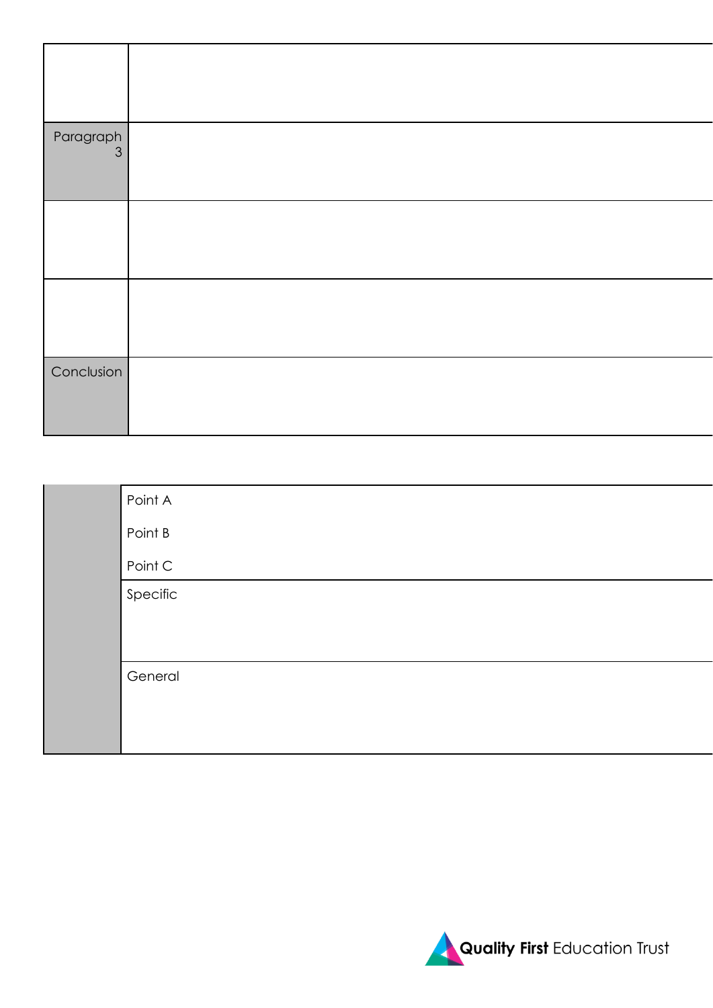| Point A  |
|----------|
| Point B  |
| Point C  |
| Specific |
|          |
|          |
| General  |
|          |
|          |
|          |